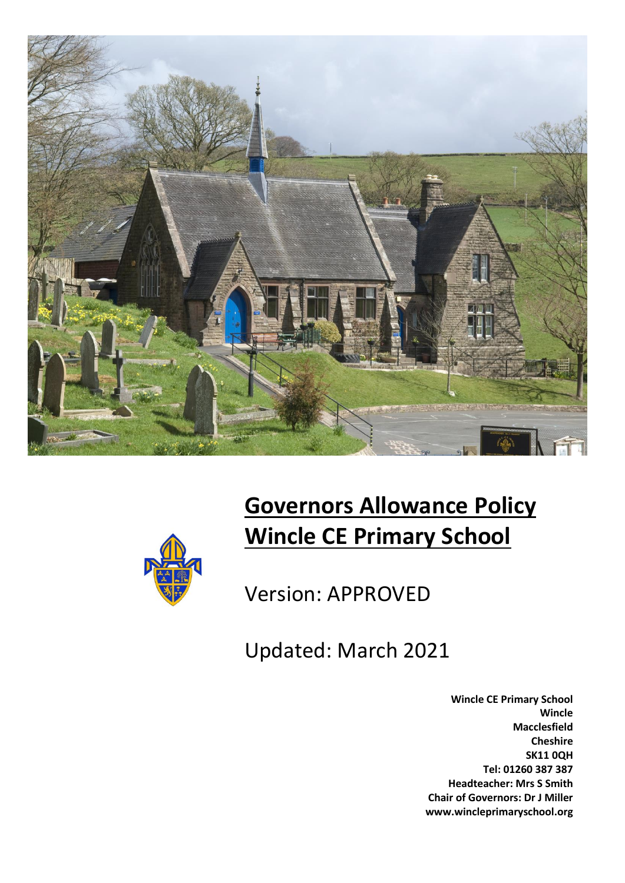



# **Governors Allowance Policy Wincle CE Primary School**

Version: APPROVED

Updated: March 2021

**Wincle CE Primary School Wincle Macclesfield Cheshire SK11 0QH Tel: 01260 387 387 Headteacher: Mrs S Smith Chair of Governors: Dr J Miller www.wincleprimaryschool.org**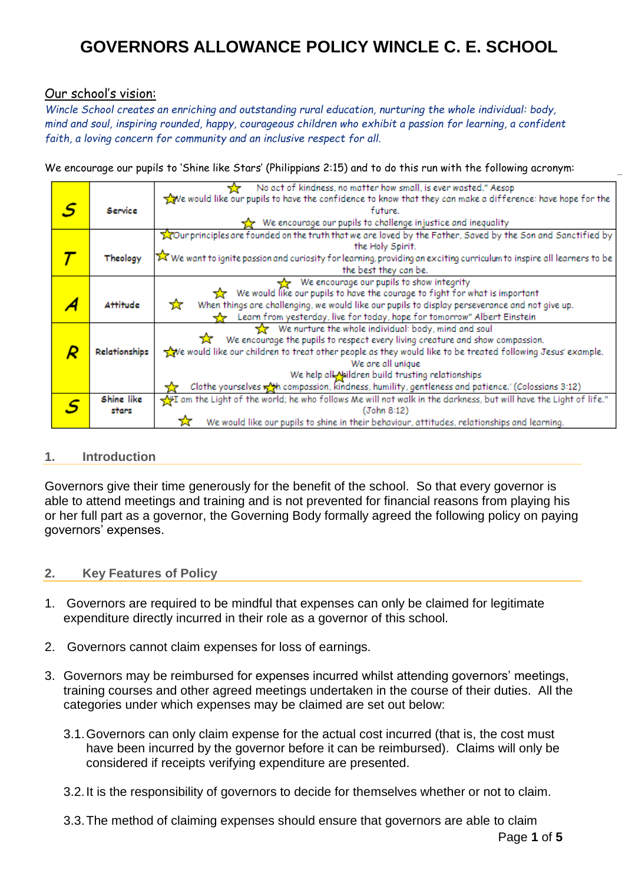### Our school's vision:

*Wincle School creates an enriching and outstanding rural education, nurturing the whole individual: body, mind and soul, inspiring rounded, happy, courageous children who exhibit a passion for learning, a confident faith, a loving concern for community and an inclusive respect for all.*

We encourage our pupils to 'Shine like Stars' (Philippians 2:15) and to do this run with the following acronym:

|    |               | No act of kindness, no matter how small, is ever wasted." Aesop                                                                  |  |
|----|---------------|----------------------------------------------------------------------------------------------------------------------------------|--|
|    |               | We would like our pupils to have the confidence to know that they can make a difference: have hope for the                       |  |
| .S | Service       | future.                                                                                                                          |  |
|    |               | We encourage our pupils to challenge injustice and inequality                                                                    |  |
|    |               | Tour principles are founded on the truth that we are loved by the Father, Saved by the Son and Sanctified by                     |  |
|    |               | the Holy Spirit.                                                                                                                 |  |
|    | Theology      | X We want to ignite passion and curiosity for learning, providing an exciting curriculum to inspire all learners to be           |  |
|    |               | the best they can be.                                                                                                            |  |
|    |               | We encourage our pupils to show integrity                                                                                        |  |
|    |               | We would like our pupils to have the courage to fight for what is important                                                      |  |
|    | Attitude      | When things are challenging, we would like our pupils to display perseverance and not give up.<br>☆                              |  |
|    |               | Learn from yesterday, live for today, hope for tomorrow" Albert Einstein                                                         |  |
|    |               | We nurture the whole individual: body, mind and soul                                                                             |  |
|    |               | We encourage the pupils to respect every living creature and show compassion.                                                    |  |
|    | Relationships | we would like our children to treat other people as they would like to be treated following Jesus' example.<br>We are all unique |  |
|    |               |                                                                                                                                  |  |
|    |               | We help all Naildren build trusting relationships                                                                                |  |
|    |               | Clothe yourselves wat compassion, kindness, humility, gentleness and patience.' (Colossians 3:12)                                |  |
|    | Shine like    | m the Light of the world; he who follows Me will not walk in the darkness, but will have the Light of life."                     |  |
|    | stars         | (John 8:12)                                                                                                                      |  |
|    |               | We would like our pupils to shine in their behaviour, attitudes, relationships and learning.                                     |  |

#### **1. Introduction**

Governors give their time generously for the benefit of the school. So that every governor is able to attend meetings and training and is not prevented for financial reasons from playing his or her full part as a governor, the Governing Body formally agreed the following policy on paying governors' expenses.

#### **2. Key Features of Policy**

- 1. Governors are required to be mindful that expenses can only be claimed for legitimate expenditure directly incurred in their role as a governor of this school.
- 2. Governors cannot claim expenses for loss of earnings.
- 3. Governors may be reimbursed for expenses incurred whilst attending governors' meetings, training courses and other agreed meetings undertaken in the course of their duties. All the categories under which expenses may be claimed are set out below:
	- 3.1.Governors can only claim expense for the actual cost incurred (that is, the cost must have been incurred by the governor before it can be reimbursed). Claims will only be considered if receipts verifying expenditure are presented.
	- 3.2.It is the responsibility of governors to decide for themselves whether or not to claim.
	- 3.3.The method of claiming expenses should ensure that governors are able to claim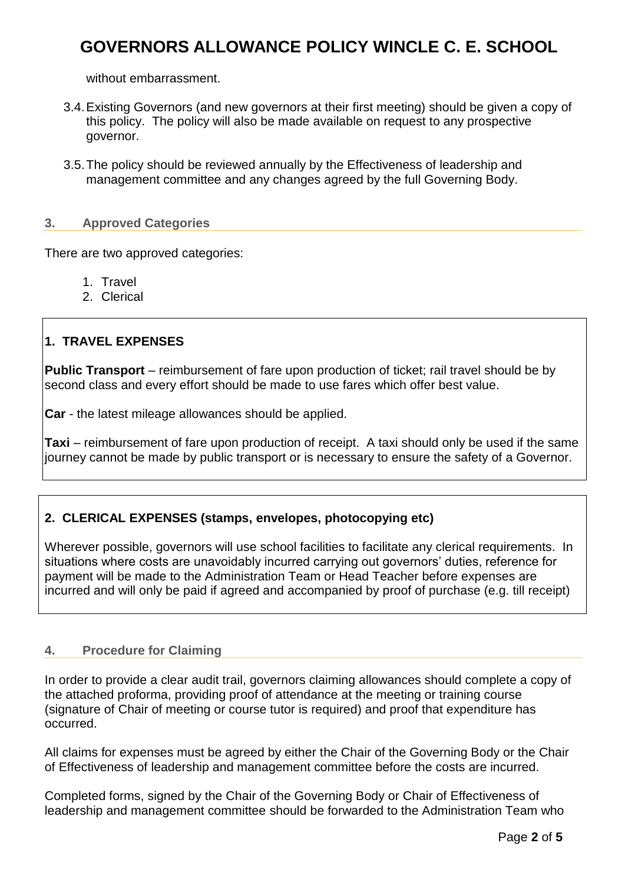without embarrassment.

- 3.4.Existing Governors (and new governors at their first meeting) should be given a copy of this policy. The policy will also be made available on request to any prospective governor.
- 3.5.The policy should be reviewed annually by the Effectiveness of leadership and management committee and any changes agreed by the full Governing Body.

#### **3. Approved Categories**

There are two approved categories:

- 1. Travel
- 2. Clerical

### **1. TRAVEL EXPENSES**

**Public Transport** – reimbursement of fare upon production of ticket; rail travel should be by second class and every effort should be made to use fares which offer best value.

**Car** - the latest mileage allowances should be applied.

**Taxi** – reimbursement of fare upon production of receipt. A taxi should only be used if the same journey cannot be made by public transport or is necessary to ensure the safety of a Governor.

### **2. CLERICAL EXPENSES (stamps, envelopes, photocopying etc)**

Wherever possible, governors will use school facilities to facilitate any clerical requirements. In situations where costs are unavoidably incurred carrying out governors' duties, reference for payment will be made to the Administration Team or Head Teacher before expenses are incurred and will only be paid if agreed and accompanied by proof of purchase (e.g. till receipt)

#### **4. Procedure for Claiming**

In order to provide a clear audit trail, governors claiming allowances should complete a copy of the attached proforma, providing proof of attendance at the meeting or training course (signature of Chair of meeting or course tutor is required) and proof that expenditure has occurred.

All claims for expenses must be agreed by either the Chair of the Governing Body or the Chair of Effectiveness of leadership and management committee before the costs are incurred.

Completed forms, signed by the Chair of the Governing Body or Chair of Effectiveness of leadership and management committee should be forwarded to the Administration Team who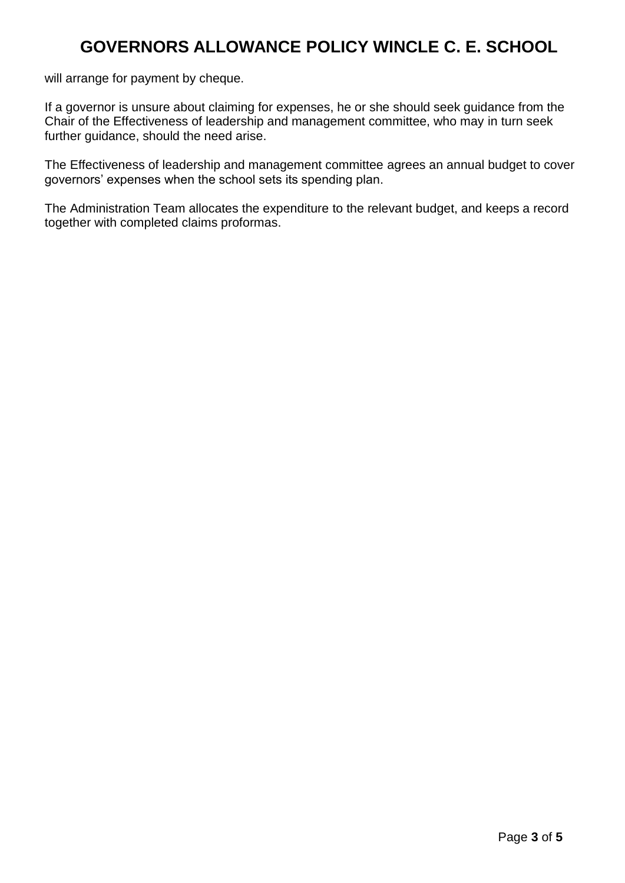will arrange for payment by cheque.

If a governor is unsure about claiming for expenses, he or she should seek guidance from the Chair of the Effectiveness of leadership and management committee, who may in turn seek further guidance, should the need arise.

The Effectiveness of leadership and management committee agrees an annual budget to cover governors' expenses when the school sets its spending plan.

The Administration Team allocates the expenditure to the relevant budget, and keeps a record together with completed claims proformas.